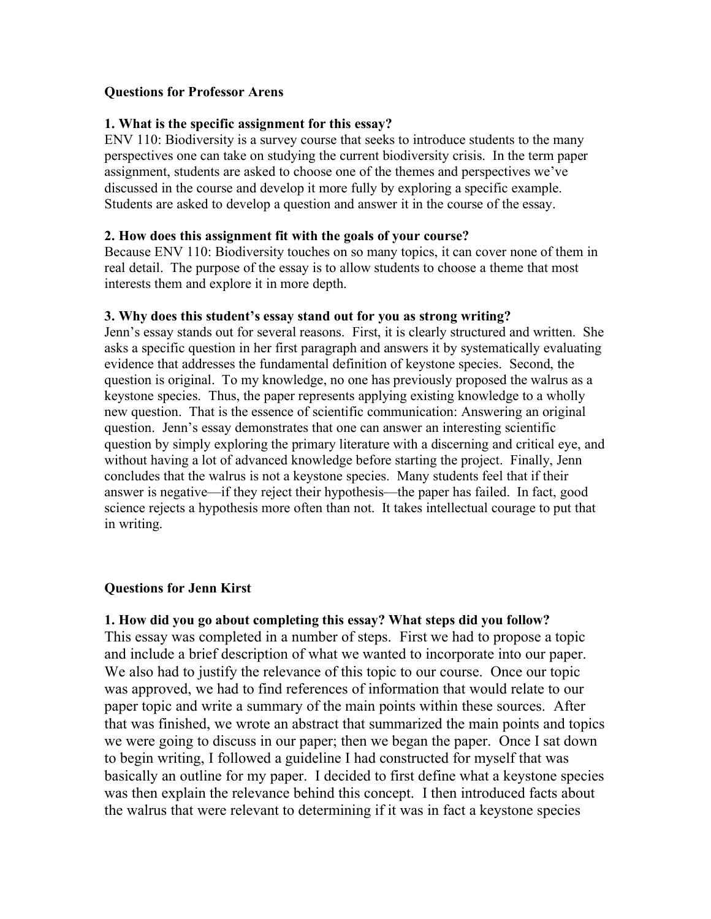## **Questions for Professor Arens**

## **1. What is the specific assignment for this essay?**

ENV 110: Biodiversity is a survey course that seeks to introduce students to the many perspectives one can take on studying the current biodiversity crisis. In the term paper assignment, students are asked to choose one of the themes and perspectives we've discussed in the course and develop it more fully by exploring a specific example. Students are asked to develop a question and answer it in the course of the essay.

#### **2. How does this assignment fit with the goals of your course?**

Because ENV 110: Biodiversity touches on so many topics, it can cover none of them in real detail. The purpose of the essay is to allow students to choose a theme that most interests them and explore it in more depth.

## **3. Why does this student's essay stand out for you as strong writing?**

Jenn's essay stands out for several reasons. First, it is clearly structured and written. She asks a specific question in her first paragraph and answers it by systematically evaluating evidence that addresses the fundamental definition of keystone species. Second, the question is original. To my knowledge, no one has previously proposed the walrus as a keystone species. Thus, the paper represents applying existing knowledge to a wholly new question. That is the essence of scientific communication: Answering an original question. Jenn's essay demonstrates that one can answer an interesting scientific question by simply exploring the primary literature with a discerning and critical eye, and without having a lot of advanced knowledge before starting the project. Finally, Jenn concludes that the walrus is not a keystone species. Many students feel that if their answer is negative—if they reject their hypothesis—the paper has failed. In fact, good science rejects a hypothesis more often than not. It takes intellectual courage to put that in writing.

# **Questions for Jenn Kirst**

# **1. How did you go about completing this essay? What steps did you follow?**

This essay was completed in a number of steps. First we had to propose a topic and include a brief description of what we wanted to incorporate into our paper. We also had to justify the relevance of this topic to our course. Once our topic was approved, we had to find references of information that would relate to our paper topic and write a summary of the main points within these sources. After that was finished, we wrote an abstract that summarized the main points and topics we were going to discuss in our paper; then we began the paper. Once I sat down to begin writing, I followed a guideline I had constructed for myself that was basically an outline for my paper. I decided to first define what a keystone species was then explain the relevance behind this concept. I then introduced facts about the walrus that were relevant to determining if it was in fact a keystone species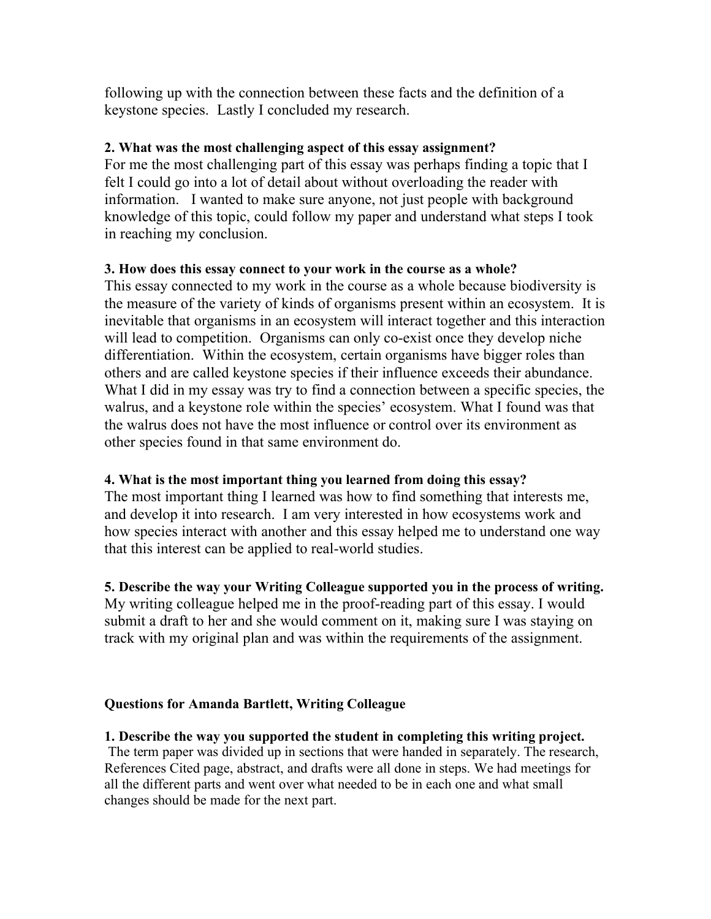following up with the connection between these facts and the definition of a keystone species. Lastly I concluded my research.

## **2. What was the most challenging aspect of this essay assignment?**

For me the most challenging part of this essay was perhaps finding a topic that I felt I could go into a lot of detail about without overloading the reader with information. I wanted to make sure anyone, not just people with background knowledge of this topic, could follow my paper and understand what steps I took in reaching my conclusion.

## **3. How does this essay connect to your work in the course as a whole?**

This essay connected to my work in the course as a whole because biodiversity is the measure of the variety of kinds of organisms present within an ecosystem. It is inevitable that organisms in an ecosystem will interact together and this interaction will lead to competition. Organisms can only co-exist once they develop niche differentiation. Within the ecosystem, certain organisms have bigger roles than others and are called keystone species if their influence exceeds their abundance. What I did in my essay was try to find a connection between a specific species, the walrus, and a keystone role within the species' ecosystem. What I found was that the walrus does not have the most influence or control over its environment as other species found in that same environment do.

# **4. What is the most important thing you learned from doing this essay?**

The most important thing I learned was how to find something that interests me, and develop it into research. I am very interested in how ecosystems work and how species interact with another and this essay helped me to understand one way that this interest can be applied to real-world studies.

**5. Describe the way your Writing Colleague supported you in the process of writing.** My writing colleague helped me in the proof-reading part of this essay. I would submit a draft to her and she would comment on it, making sure I was staying on track with my original plan and was within the requirements of the assignment.

# **Questions for Amanda Bartlett, Writing Colleague**

**1. Describe the way you supported the student in completing this writing project.**  The term paper was divided up in sections that were handed in separately. The research, References Cited page, abstract, and drafts were all done in steps. We had meetings for all the different parts and went over what needed to be in each one and what small changes should be made for the next part.